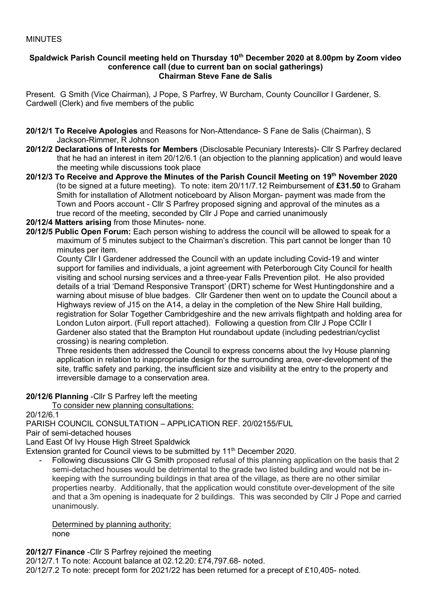### MINUTES

#### **Spaldwick Parish Council meeting held on Thursday 10 th December 2020 at 8.00pm by Zoom video conference call (due to current ban on social gatherings) Chairman Steve Fane de Salis**

Present. G Smith (Vice Chairman), J Pope, S Parfrey, W Burcham, County Councillor I Gardener, S. Cardwell (Clerk) and five members of the public

- **20/12/1 To Receive Apologies** and Reasons for Non-Attendance- S Fane de Salis (Chairman), S Jackson-Rimmer, R Johnson
- **20/12/2 Declarations of Interests for Members** (Disclosable Pecuniary Interests)- Cllr S Parfrey declared that he had an interest in item 20/12/6.1 (an objection to the planning application) and would leave the meeting while discussions took place
- **20/12/3 To Receive and Approve the Minutes of the Parish Council Meeting on 19 th November 2020**  (to be signed at a future meeting). To note: item 20/11/7.12 Reimbursement of **£31.50** to Graham Smith for installation of Allotment noticeboard by Alison Morgan- payment was made from the Town and Poors account - Cllr S Parfrey proposed signing and approval of the minutes as a true record of the meeting, seconded by Cllr J Pope and carried unanimously
- **20/12/4 Matters arising** from those Minutes- none.
- **20/12/5 Public Open Forum:** Each person wishing to address the council will be allowed to speak for a maximum of 5 minutes subject to the Chairman's discretion. This part cannot be longer than 10 minutes per item.

County Cllr I Gardener addressed the Council with an update including Covid-19 and winter support for families and individuals, a joint agreement with Peterborough City Council for health visiting and school nursing services and a three-year Falls Prevention pilot. He also provided details of a trial 'Demand Responsive Transport' (DRT) scheme for West Huntingdonshire and a warning about misuse of blue badges. Cllr Gardener then went on to update the Council about a Highways review of J15 on the A14, a delay in the completion of the New Shire Hall building, registration for Solar Together Cambridgeshire and the new arrivals flightpath and holding area for London Luton airport. (Full report attached). Following a question from Cllr J Pope CCllr I Gardener also stated that the Brampton Hut roundabout update (including pedestrian/cyclist crossing) is nearing completion.

 Three residents then addressed the Council to express concerns about the Ivy House planning application in relation to inappropriate design for the surrounding area, over-development of the site, traffic safety and parking, the insufficient size and visibility at the entry to the property and irreversible damage to a conservation area.

**20/12/6 Planning** -Cllr S Parfrey left the meeting

To consider new planning consultations:

20/12/6.1

PARISH COUNCIL CONSULTATION – APPLICATION REF. 20/02155/FUL

Pair of semi-detached houses

Land East Of Ivy House High Street Spaldwick

Extension granted for Council views to be submitted by 11<sup>th</sup> December 2020.

- Following discussions Cllr G Smith proposed refusal of this planning application on the basis that 2 semi-detached houses would be detrimental to the grade two listed building and would not be inkeeping with the surrounding buildings in that area of the village, as there are no other similar properties nearby. Additionally, that the application would constitute over-development of the site and that a 3m opening is inadequate for 2 buildings. This was seconded by Cllr J Pope and carried unanimously.

Determined by planning authority: none

**20/12/7 Finance** -Cllr S Parfrey rejoined the meeting

20/12/7.1 To note: Account balance at 02.12.20: £74,797.68- noted. 20/12/7.2 To note: precept form for 2021/22 has been returned for a precept of £10,405- noted.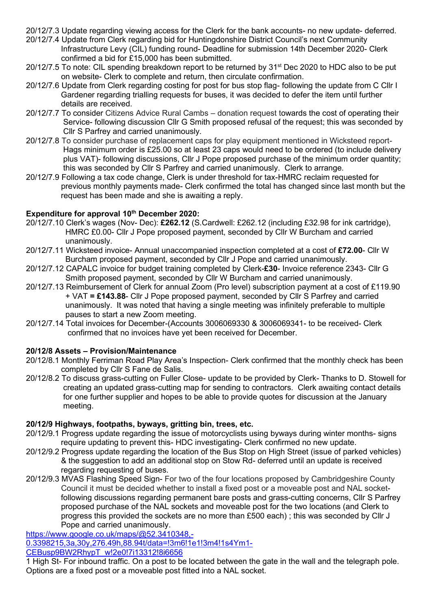20/12/7.3 Update regarding viewing access for the Clerk for the bank accounts- no new update- deferred.

- 20/12/7.4 Update from Clerk regarding bid for Huntingdonshire District Council's next Community Infrastructure Levy (CIL) funding round- Deadline for submission 14th December 2020- Clerk confirmed a bid for £15,000 has been submitted.
- 20/12/7.5 To note: CIL spending breakdown report to be returned by 31<sup>st</sup> Dec 2020 to HDC also to be put on website- Clerk to complete and return, then circulate confirmation.
- 20/12/7.6 Update from Clerk regarding costing for post for bus stop flag- following the update from C Cllr I Gardener regarding trialling requests for buses, it was decided to defer the item until further details are received.
- 20/12/7.7 To consider Citizens Advice Rural Cambs donation request towards the cost of operating their Service- following discussion Cllr G Smith proposed refusal of the request; this was seconded by Cllr S Parfrey and carried unanimously.
- 20/12/7.8 To consider purchase of replacement caps for play equipment mentioned in Wicksteed report- Hags minimum order is £25.00 so at least 23 caps would need to be ordered (to include delivery plus VAT)- following discussions, Cllr J Pope proposed purchase of the minimum order quantity; this was seconded by Cllr S Parfrey and carried unanimously. Clerk to arrange.
- 20/12/7.9 Following a tax code change, Clerk is under threshold for tax-HMRC reclaim requested for previous monthly payments made- Clerk confirmed the total has changed since last month but the request has been made and she is awaiting a reply.

# Expenditure for approval 10<sup>th</sup> December 2020:

- 20/12/7.10 Clerk's wages (Nov- Dec): **£262.12** (S.Cardwell: £262.12 (including £32.98 for ink cartridge), HMRC £0.00- Cllr J Pope proposed payment, seconded by Cllr W Burcham and carried unanimously.
- 20/12/7.11 Wicksteed invoice- Annual unaccompanied inspection completed at a cost of **£72.00** Cllr W Burcham proposed payment, seconded by Cllr J Pope and carried unanimously.
- 20/12/7.12 CAPALC invoice for budget training completed by Clerk-**£30** Invoice reference 2343- Cllr G Smith proposed payment, seconded by Cllr W Burcham and carried unanimously.
- 20/12/7.13 Reimbursement of Clerk for annual Zoom (Pro level) subscription payment at a cost of £119.90 + VAT **= £143.88**- Cllr J Pope proposed payment, seconded by Cllr S Parfrey and carried unanimously. It was noted that having a single meeting was infinitely preferable to multiple pauses to start a new Zoom meeting.
- 20/12/7.14 Total invoices for December-(Accounts 3006069330 & 3006069341- to be received- Clerk confirmed that no invoices have yet been received for December.

# **20/12/8 Assets – Provision/Maintenance**

- 20/12/8.1 Monthly Ferriman Road Play Area's Inspection- Clerk confirmed that the monthly check has been completed by Cllr S Fane de Salis.
- 20/12/8.2 To discuss grass-cutting on Fuller Close- update to be provided by Clerk- Thanks to D. Stowell for creating an updated grass-cutting map for sending to contractors. Clerk awaiting contact details for one further supplier and hopes to be able to provide quotes for discussion at the January meeting.

### **20/12/9 Highways, footpaths, byways, gritting bin, trees, etc.**

- 20/12/9.1 Progress update regarding the issue of motorcyclists using byways during winter months- signs require updating to prevent this- HDC investigating- Clerk confirmed no new update.
- 20/12/9.2 Progress update regarding the location of the Bus Stop on High Street (issue of parked vehicles) & the suggestion to add an additional stop on Stow Rd- deferred until an update is received regarding requesting of buses.
- 20/12/9.3 MVAS Flashing Speed Sign- For two of the four locations proposed by Cambridgeshire County Council it must be decided whether to install a fixed post or a moveable post and NAL socket following discussions regarding permanent bare posts and grass-cutting concerns, Cllr S Parfrey proposed purchase of the NAL sockets and moveable post for the two locations (and Clerk to progress this provided the sockets are no more than £500 each) ; this was seconded by Cllr J Pope and carried unanimously[.](https://www.google.co.uk/maps/@52.3410348,-0.3398215,3a,30y,276.49h,88.94t/data=!3m6!1e1!3m4!1s4Ym1-CEBusp9BW2RhypT_w!2e0!7i13312!8i6656)

# [https://www.google.co.uk/maps/@52.3410348,-](https://www.google.co.uk/maps/@52.3410348,-0.3398215,3a,30y,276.49h,88.94t/data=!3m6!1e1!3m4!1s4Ym1-CEBusp9BW2RhypT_w!2e0!7i13312!8i6656)

[0.3398215,3a,30y,276.49h,88.94t/data=!3m6!1e1!3m4!1s4Ym1-](https://www.google.co.uk/maps/@52.3410348,-0.3398215,3a,30y,276.49h,88.94t/data=!3m6!1e1!3m4!1s4Ym1-CEBusp9BW2RhypT_w!2e0!7i13312!8i6656)

[CEBusp9BW2RhypT\\_w!2e0!7i13312!8i6656](https://www.google.co.uk/maps/@52.3410348,-0.3398215,3a,30y,276.49h,88.94t/data=!3m6!1e1!3m4!1s4Ym1-CEBusp9BW2RhypT_w!2e0!7i13312!8i6656)

1 High St- For inbound traffic. On a post to be located between the gate in the wall and the telegraph pole. Options are a fixed post or a moveable post fitted into a NAL socket.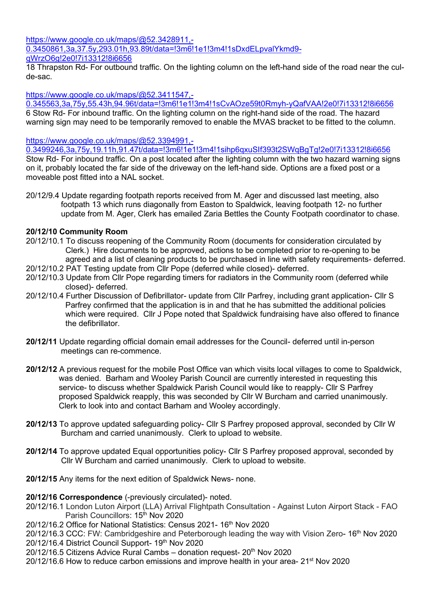[https://www.google.co.uk/maps/@52.3428911,-](https://www.google.co.uk/maps/@52.3428911,-0.3450861,3a,37.5y,293.01h,93.89t/data=!3m6!1e1!3m4!1sDxdELpvalYkmd9-qWrzO6g!2e0!7i13312!8i6656) [0.3450861,3a,37.5y,293.01h,93.89t/data=!3m6!1e1!3m4!1sDxdELpvalYkmd9](https://www.google.co.uk/maps/@52.3428911,-0.3450861,3a,37.5y,293.01h,93.89t/data=!3m6!1e1!3m4!1sDxdELpvalYkmd9-qWrzO6g!2e0!7i13312!8i6656) [qWrzO6g!2e0!7i13312!8i6656](https://www.google.co.uk/maps/@52.3428911,-0.3450861,3a,37.5y,293.01h,93.89t/data=!3m6!1e1!3m4!1sDxdELpvalYkmd9-qWrzO6g!2e0!7i13312!8i6656)

18 Thrapston Rd- For outbound traffic. On the lighting column on the left-hand side of the road near the culde-sac.

## [https://www.google.co.uk/maps/@52.3411547,-](https://www.google.co.uk/maps/@52.3411547,-0.345563,3a,75y,55.43h,94.96t/data=!3m6!1e1!3m4!1sCvAOze59t0Rmyh-yQafVAA!2e0!7i13312!8i6656)

[0.345563,3a,75y,55.43h,94.96t/data=!3m6!1e1!3m4!1sCvAOze59t0Rmyh-yQafVAA!2e0!7i13312!8i6656](https://www.google.co.uk/maps/@52.3411547,-0.345563,3a,75y,55.43h,94.96t/data=!3m6!1e1!3m4!1sCvAOze59t0Rmyh-yQafVAA!2e0!7i13312!8i6656) 6 Stow Rd- For inbound traffic. On the lighting column on the right-hand side of the road. The hazard warning sign may need to be temporarily removed to enable the MVAS bracket to be fitted to the column.

## [https://www.google.co.uk/maps/@52.3394991,-](https://www.google.co.uk/maps/@52.3394991,-0.3499246,3a,75y,19.11h,91.47t/data=!3m6!1e1!3m4!1sihp6qxuSIf393t2SWqBgTg!2e0!7i13312!8i6656)

[0.3499246,3a,75y,19.11h,91.47t/data=!3m6!1e1!3m4!1sihp6qxuSIf393t2SWqBgTg!2e0!7i13312!8i6656](https://www.google.co.uk/maps/@52.3394991,-0.3499246,3a,75y,19.11h,91.47t/data=!3m6!1e1!3m4!1sihp6qxuSIf393t2SWqBgTg!2e0!7i13312!8i6656) Stow Rd- For inbound traffic. On a post located after the lighting column with the two hazard warning signs on it, probably located the far side of the driveway on the left-hand side. Options are a fixed post or a moveable post fitted into a NAL socket.

20/12/9.4 Update regarding footpath reports received from M. Ager and discussed last meeting, also footpath 13 which runs diagonally from Easton to Spaldwick, leaving footpath 12- no further update from M. Ager, Clerk has emailed Zaria Bettles the County Footpath coordinator to chase.

## **20/12/10 Community Room**

- 20/12/10.1 To discuss reopening of the Community Room (documents for consideration circulated by Clerk.) Hire documents to be approved, actions to be completed prior to re-opening to be agreed and a list of cleaning products to be purchased in line with safety requirements- deferred.
- 20/12/10.2 PAT Testing update from Cllr Pope (deferred while closed)- deferred.
- 20/12/10.3 Update from Cllr Pope regarding timers for radiators in the Community room (deferred while closed)- deferred.
- 20/12/10.4 Further Discussion of Defibrillator- update from Cllr Parfrey, including grant application- Cllr S Parfrey confirmed that the application is in and that he has submitted the additional policies which were required. Cllr J Pope noted that Spaldwick fundraising have also offered to finance the defibrillator.
- **20/12/11** Update regarding official domain email addresses for the Council- deferred until in-person meetings can re-commence.
- **20/12/12** A previous request for the mobile Post Office van which visits local villages to come to Spaldwick, was denied. Barham and Wooley Parish Council are currently interested in requesting this service- to discuss whether Spaldwick Parish Council would like to reapply- Cllr S Parfrey proposed Spaldwick reapply, this was seconded by Cllr W Burcham and carried unanimously. Clerk to look into and contact Barham and Wooley accordingly.
- **20/12/13** To approve updated safeguarding policy- Cllr S Parfrey proposed approval, seconded by Cllr W Burcham and carried unanimously. Clerk to upload to website.
- **20/12/14** To approve updated Equal opportunities policy- Cllr S Parfrey proposed approval, seconded by Cllr W Burcham and carried unanimously. Clerk to upload to website.
- **20/12/15** Any items for the next edition of Spaldwick News- none.

### **20/12/16 Correspondence** (-previously circulated)- noted.

- 20/12/16.1 London Luton Airport (LLA) Arrival Flightpath Consultation Against Luton Airport Stack FAO Parish Councillors: 15<sup>th</sup> Nov 2020
- 20/12/16.2 Office for National Statistics: Census 2021- 16th Nov 2020

20/12/16.3 CCC: FW: Cambridgeshire and Peterborough leading the way with Vision Zero- 16<sup>th</sup> Nov 2020

20/12/16.4 District Council Support- 19th Nov 2020

20/12/16.5 Citizens Advice Rural Cambs – donation request- 20<sup>th</sup> Nov 2020

20/12/16.6 How to reduce carbon emissions and improve health in your area- 21st Nov 2020